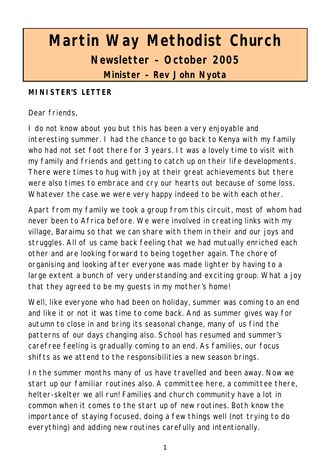# **Martin Way Methodist Church Newsletter – October 2005 Minister – Rev John Nyota**

#### **MINISTER'S LETTER**

Dear friends,

I do not know about you but this has been a very enjoyable and interesting summer. I had the chance to go back to Kenya with my family who had not set foot there for 3 years. It was a lovely time to visit with my family and friends and getting to catch up on their life developments. There were times to hug with joy at their great achievements but there were also times to embrace and cry our hearts out because of some loss. Whatever the case we were very happy indeed to be with each other.

Apart from my family we took a group from this circuit, most of whom had never been to Africa before. We were involved in creating links with my village, Baraimu so that we can share with them in their and our joys and struggles. All of us came back feeling that we had mutually enriched each other and are looking forward to being together again. The chore of organising and looking after everyone was made lighter by having to a large extent a bunch of very understanding and exciting group. What a joy that they agreed to be my guests in my mother's home!

Well, like everyone who had been on holiday, summer was coming to an end and like it or not it was time to come back. And as summer gives way for autumn to close in and bring its seasonal change, many of us find the patterns of our days changing also. School has resumed and summer's carefree feeling is gradually coming to an end. As families, our focus shifts as we attend to the responsibilities a new season brings.

In the summer months many of us have travelled and been away. Now we start up our familiar routines also. A committee here, a committee there, helter-skelter we all run! Families and church community have a lot in common when it comes to the start up of new routines. Both know the importance of staying focused, doing a few things well (not trying to do everything) and adding new routines carefully and intentionally.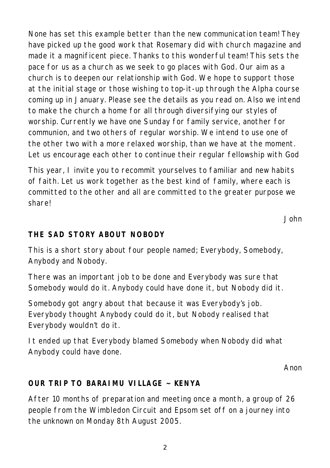None has set this example better than the new communication team! They have picked up the good work that Rosemary did with church magazine and made it a magnificent piece. Thanks to this wonderful team! This sets the pace for us as a church as we seek to go places with God. Our aim as a church is to deepen our relationship with God. We hope to support those at the initial stage or those wishing to top-it-up through the Alpha course coming up in January. Please see the details as you read on. Also we intend to make the church a home for all through diversifying our styles of worship. Currently we have one Sunday for family service, another for communion, and two others of regular worship. We intend to use one of the other two with a more relaxed worship, than we have at the moment. Let us encourage each other to continue their regular fellowship with God

This year, I invite you to recommit yourselves to familiar and new habits of faith. Let us work together as the best kind of family, where each is committed to the other and all are committed to the greater purpose we share!

*John*

### **THE SAD STORY ABOUT NOBODY**

This is a short story about four people named; Everybody, Somebody, Anybody and Nobody.

There was an important job to be done and Everybody was sure that Somebody would do it. Anybody could have done it, but Nobody did it.

Somebody got angry about that because it was Everybody's job. Everybody thought Anybody could do it, but Nobody realised that Everybody wouldn't do it.

It ended up that Everybody blamed Somebody when Nobody did what Anybody could have done.

*Anon*

#### **OUR TRIP TO BARAIMU VILLAGE ~ KENYA**

After 10 months of preparation and meeting once a month, a group of 26 people from the Wimbledon Circuit and Epsom set off on a journey into the unknown on Monday 8th August 2005.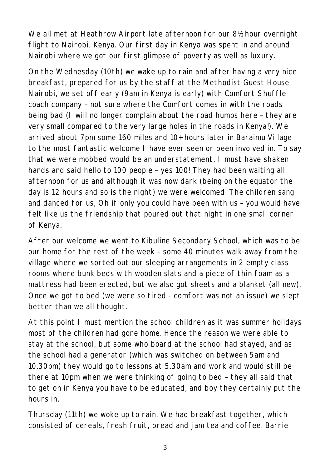We all met at Heathrow Airport late afternoon for our 8½ hour overnight flight to Nairobi, Kenya. Our first day in Kenya was spent in and around Nairobi where we got our first glimpse of poverty as well as luxury.

On the Wednesday (10th) we wake up to rain and after having a very nice breakfast, prepared for us by the staff at the Methodist Guest House Nairobi, we set off early (9am in Kenya is early) with Comfort Shuffle coach company – not sure where the Comfort comes in with the roads being bad (I will no longer complain about the road humps here – they are very small compared to the very large holes in the roads in Kenya!). We arrived about 7pm some 160 miles and 10+ hours later in Baraimu Village to the most fantastic welcome I have ever seen or been involved in. To say that we were mobbed would be an understatement, I must have shaken hands and said hello to 100 people – yes 100! They had been waiting all afternoon for us and although it was now dark (being on the equator the day is 12 hours and so is the night) we were welcomed. The children sang and danced for us, Oh if only you could have been with us – you would have felt like us the friendship that poured out that night in one small corner of Kenya.

After our welcome we went to Kibuline Secondary School, which was to be our home for the rest of the week – some 40 minutes walk away from the village where we sorted out our sleeping arrangements in 2 empty class rooms where bunk beds with wooden slats and a piece of thin foam as a mattress had been erected, but we also got sheets and a blanket (all new). Once we got to bed (we were so tired - comfort was not an issue) we slept better than we all thought.

At this point I must mention the school children as it was summer holidays most of the children had gone home. Hence the reason we were able to stay at the school, but some who board at the school had stayed, and as the school had a generator (which was switched on between 5am and 10.30pm) they would go to lessons at 5.30am and work and would still be there at 10pm when we were thinking of going to bed – they all said that to get on in Kenya you have to be educated, and boy they certainly put the hours in.

Thursday (11th) we woke up to rain. We had breakfast together, which consisted of cereals, fresh fruit, bread and jam tea and coffee. Barrie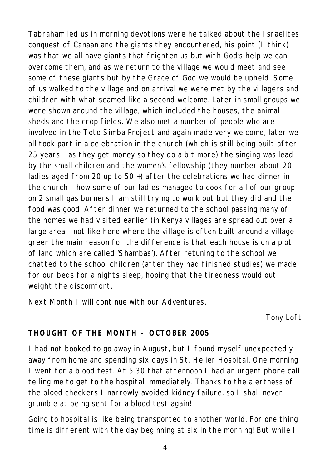Tabraham led us in morning devotions were he talked about the Israelites conquest of Canaan and the giants they encountered, his point (I think) was that we all have giants that frighten us but with God's help we can overcome them, and as we return to the village we would meet and see some of these giants but by the Grace of God we would be upheld. Some of us walked to the village and on arrival we were met by the villagers and children with what seamed like a second welcome. Later in small groups we were shown around the village, which included the houses, the animal sheds and the crop fields. We also met a number of people who are involved in the Toto Simba Project and again made very welcome, later we all took part in a celebration in the church (which is still being built after 25 years – as they get money so they do a bit more) the singing was lead by the small children and the women's fellowship (they number about 20 ladies aged from 20 up to 50 +) after the celebrations we had dinner in the church – how some of our ladies managed to cook for all of our group on 2 small gas burners I am still trying to work out but they did and the food was good. After dinner we returned to the school passing many of the homes we had visited earlier (in Kenya villages are spread out over a large area – not like here where the village is often built around a village green the main reason for the difference is that each house is on a plot of land which are called 'Shambas'). After retuning to the school we chatted to the school children (after they had finished studies) we made for our beds for a nights sleep, hoping that the tiredness would out weight the discomfort.

*Next Month I will continue with our Adventures.*

*Tony Loft*

## **THOUGHT OF THE MONTH - OCTOBER 2005**

I had not booked to go away in August, but I found myself unexpectedly away from home and spending six days in St. Helier Hospital. One morning I went for a blood test. At 5.30 that afternoon I had an urgent phone call telling me to get to the hospital immediately. Thanks to the alertness of the blood checkers I narrowly avoided kidney failure, so I shall never grumble at being sent for a blood test again!

Going to hospital is like being transported to another world. For one thing time is different with the day beginning at six in the morning! But while I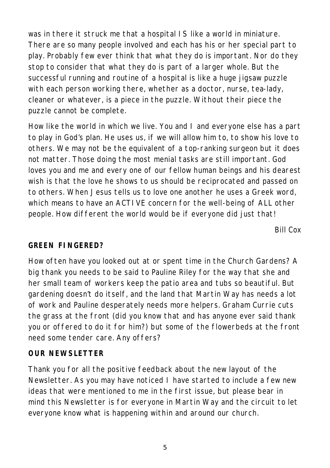was in there it struck me that a hospital IS like a world in miniature. There are so many people involved and each has his or her special part to play. Probably few ever think that what they do is important. Nor do they stop to consider that what they do is part of a larger whole. But the successful running and routine of a hospital is like a huge jigsaw puzzle with each person working there, whether as a doctor, nurse, tea-lady, cleaner or whatever, is a piece in the puzzle. Without their piece the puzzle cannot be complete.

How like the world in which we live. You and I and everyone else has a part to play in God's plan. He uses us, if we will allow him to, to show his love to others. We may not be the equivalent of a top-ranking surgeon but it does not matter. Those doing the most menial tasks are still important. God loves you and me and every one of our fellow human beings and his dearest wish is that the love he shows to us should be reciprocated and passed on to others. When Jesus tells us to love one another he uses a Greek word, which means to have an ACTIVE concern for the well-being of ALL other people. How different the world would be if everyone did just that!

*Bill Cox*

#### **GREEN FINGERED?**

How often have you looked out at or spent time in the Church Gardens? A big thank you needs to be said to Pauline Riley for the way that she and her small team of workers keep the patio area and tubs so beautiful. But gardening doesn't do itself, and the land that Martin Way has needs a lot of work and Pauline desperately needs more helpers. Graham Currie cuts the grass at the front (did you know that and has anyone ever said thank you or offered to do it for him?) but some of the flowerbeds at the front need some tender care. Any offers?

#### **OUR NEWSLETTER**

Thank you for all the positive feedback about the new layout of the Newsletter. As you may have noticed I have started to include a few new ideas that were mentioned to me in the first issue, but please bear in mind this Newsletter is for everyone in Martin Way and the circuit to let everyone know what is happening within and around our church.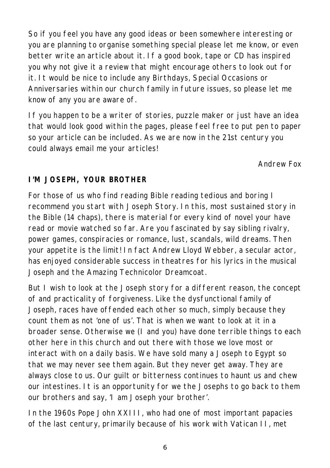So if you feel you have any good ideas or been somewhere interesting or you are planning to organise something special please let me know, or even better write an article about it. If a good book, tape or CD has inspired you why not give it a review that might encourage others to look out for it. It would be nice to include any Birthdays, Special Occasions or Anniversaries within our church family in future issues, so please let me know of any you are aware of.

If you happen to be a writer of stories, puzzle maker or just have an idea that would look good within the pages, please feel free to put pen to paper so your article can be included. As we are now in the 21st century you could always email me your articles!

*Andrew Fox*

## **I'M JOSEPH, YOUR BROTHER**

For those of us who find reading Bible reading tedious and boring I recommend you start with Joseph Story. In this, most sustained story in the Bible (14 chaps), there is material for every kind of novel your have read or movie watched so far. Are you fascinated by say sibling rivalry, power games, conspiracies or romance, lust, scandals, wild dreams. Then your appetite is the limit! In fact Andrew Lloyd Webber, a secular actor, has enjoyed considerable success in theatres for his lyrics in the musical Joseph and the Amazing Technicolor Dreamcoat.

But I wish to look at the Joseph story for a different reason, the concept of and practicality of forgiveness. Like the dysfunctional family of Joseph, races have offended each other so much, simply because they count them as not 'one of us'. That is when we want to look at it in a broader sense. Otherwise we (I and you) have done terrible things to each other here in this church and out there with those we love most or interact with on a daily basis. We have sold many a Joseph to Egypt so that we may never see them again. But they never get away. They are always close to us. Our guilt or bitterness continues to haunt us and chew our intestines. It is an opportunity for we the Josephs to go back to them our brothers and say, 'I am Joseph your brother'.

In the 1960s Pope John XXIII, who had one of most important papacies of the last century, primarily because of his work with Vatican II, met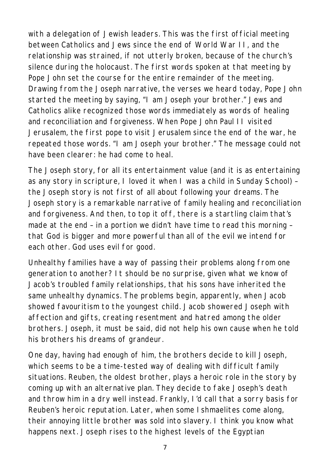with a delegation of Jewish leaders. This was the first official meeting between Catholics and Jews since the end of World War II, and the relationship was strained, if not utterly broken, because of the church's silence during the holocaust. The first words spoken at that meeting by Pope John set the course for the entire remainder of the meeting. Drawing from the Joseph narrative, the verses we heard today, Pope John started the meeting by saying, "I am Joseph your brother." Jews and Catholics alike recognized those words immediately as words of healing and reconciliation and forgiveness. When Pope John Paul II visited Jerusalem, the first pope to visit Jerusalem since the end of the war, he repeated those words. "I am Joseph your brother." The message could not have been clearer: he had come to heal.

The Joseph story, for all its entertainment value (and it is as entertaining as any story in scripture, I loved it when I was a child in Sunday School) – the Joseph story is not first of all about following your dreams. The Joseph story is a remarkable narrative of family healing and reconciliation and forgiveness. And then, to top it off, there is a startling claim that's made at the end – in a portion we didn't have time to read this morning – that God is bigger and more powerful than all of the evil we intend for each other. God uses evil for good.

Unhealthy families have a way of passing their problems along from one generation to another? It should be no surprise, given what we know of Jacob's troubled family relationships, that his sons have inherited the same unhealthy dynamics. The problems begin, apparently, when Jacob showed favouritism to the youngest child. Jacob showered Joseph with affection and gifts, creating resentment and hatred among the older brothers. Joseph, it must be said, did not help his own cause when he told his brothers his dreams of grandeur.

One day, having had enough of him, the brothers decide to kill Joseph, which seems to be a time-tested way of dealing with difficult family situations. Reuben, the oldest brother, plays a heroic role in the story by coming up with an alternative plan. They decide to fake Joseph's death and throw him in a dry well instead. Frankly, I'd call that a sorry basis for Reuben's heroic reputation. Later, when some Ishmaelites come along, their annoying little brother was sold into slavery. I think you know what happens next. Joseph rises to the highest levels of the Egyptian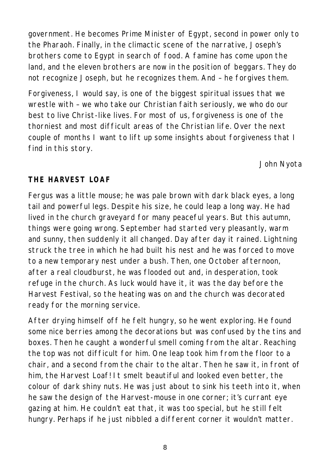government. He becomes Prime Minister of Egypt, second in power only to the Pharaoh. Finally, in the climactic scene of the narrative, Joseph's brothers come to Egypt in search of food. A famine has come upon the land, and the eleven brothers are now in the position of beggars. They do not recognize Joseph, but he recognizes them. And – he forgives them.

Forgiveness, I would say, is one of the biggest spiritual issues that we wrestle with – we who take our Christian faith seriously, we who do our best to live Christ-like lives. For most of us, forgiveness is one of the thorniest and most difficult areas of the Christian life. Over the next couple of months I want to lift up some insights about forgiveness that I find in this story.

*John Nyota*

# **THE HARVEST LOAF**

Fergus was a little mouse; he was pale brown with dark black eyes, a long tail and powerful legs. Despite his size, he could leap a long way. He had lived in the church graveyard for many peaceful years. But this autumn, things were going wrong. September had started very pleasantly, warm and sunny, then suddenly it all changed. Day after day it rained. Lightning struck the tree in which he had built his nest and he was forced to move to a new temporary nest under a bush. Then, one October afternoon, after a real cloudburst, he was flooded out and, in desperation, took refuge in the church. As luck would have it, it was the day before the Harvest Festival, so the heating was on and the church was decorated ready for the morning service.

After drying himself off he felt hungry, so he went exploring. He found some nice berries among the decorations but was confused by the tins and boxes. Then he caught a wonderful smell coming from the altar. Reaching the top was not difficult for him. One leap took him from the floor to a chair, and a second from the chair to the altar. Then he saw it, in front of him, the Harvest Loaf! It smelt beautiful and looked even better, the colour of dark shiny nuts. He was just about to sink his teeth into it, when he saw the design of the Harvest-mouse in one corner; it's currant eye gazing at him. He couldn't eat that, it was too special, but he still felt hungry. Perhaps if he just nibbled a different corner it wouldn't matter.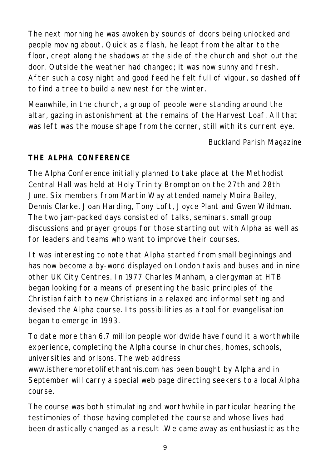The next morning he was awoken by sounds of doors being unlocked and people moving about. Quick as a flash, he leapt from the altar to the floor, crept along the shadows at the side of the church and shot out the door. Outside the weather had changed; it was now sunny and fresh. After such a cosy night and good feed he felt full of vigour, so dashed off to find a tree to build a new nest for the winter.

Meanwhile, in the church, a group of people were standing around the altar, gazing in astonishment at the remains of the Harvest Loaf. All that was left was the mouse shape from the corner, still with its current eye.

*Buckland Parish Magazine*

## **THE ALPHA CONFERENCE**

The Alpha Conference initially planned to take place at the Methodist Central Hall was held at Holy Trinity Brompton on the 27th and 28th June. Six members from Martin Way attended namely Moira Bailey, Dennis Clarke, Joan Harding, Tony Loft, Joyce Plant and Gwen Wildman. The two jam-packed days consisted of talks, seminars, small group discussions and prayer groups for those starting out with Alpha as well as for leaders and teams who want to improve their courses.

It was interesting to note that Alpha started from small beginnings and has now become a by-word displayed on London taxis and buses and in nine other UK City Centres. In 1977 Charles Manham, a clergyman at HTB began looking for a means of presenting the basic principles of the Christian faith to new Christians in a relaxed and informal setting and devised the Alpha course. Its possibilities as a tool for evangelisation began to emerge in 1993.

To date more than 6.7 million people worldwide have found it a worthwhile experience, completing the Alpha course in churches, homes, schools, universities and prisons. The web address

www.istheremoretolifethanthis.com has been bought by Alpha and in September will carry a special web page directing seekers to a local Alpha course.

The course was both stimulating and worthwhile in particular hearing the testimonies of those having completed the course and whose lives had been drastically changed as a result .We came away as enthusiastic as the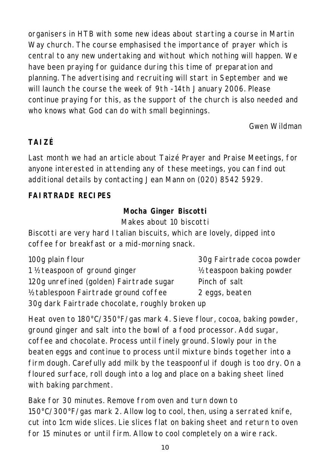organisers in HTB with some new ideas about starting a course in Martin Way church. The course emphasised the importance of prayer which is central to any new undertaking and without which nothing will happen. We have been praying for guidance during this time of preparation and planning. The advertising and recruiting will start in September and we will launch the course the week of 9th -14th January 2006. Please continue praying for this, as the support of the church is also needed and who knows what God can do with small beginnings.

## *Gwen Wildman*

# **TAIZÉ**

Last month we had an article about Taizé Prayer and Praise Meetings, for anyone interested in attending any of these meetings, you can find out additional details by contacting Jean Mann on (020) 8542 5929.

# **FAIRTRADE RECIPES**

## **Mocha Ginger Biscotti** Makes about 10 biscotti

Biscotti are very hard Italian biscuits, which are lovely, dipped into coffee for breakfast or a mid-morning snack.

| 100g plain flour                                | 30g Fairtrade cocoa powder |  |  |
|-------------------------------------------------|----------------------------|--|--|
| 1 ½ teaspoon of ground ginger                   | 1/2 teaspoon baking powder |  |  |
| 120g unrefined (golden) Fairtrade sugar         | Pinch of salt              |  |  |
| 1/2 tablespoon Fairtrade ground coffee          | 2 eggs, beaten             |  |  |
| 30g dark Fairtrade chocolate, roughly broken up |                            |  |  |

Heat oven to 180°C/350°F/gas mark 4. Sieve flour, cocoa, baking powder, ground ginger and salt into the bowl of a food processor. Add sugar, coffee and chocolate. Process until finely ground. Slowly pour in the beaten eggs and continue to process until mixture binds together into a firm dough. Carefully add milk by the teaspoonful if dough is too dry. On a floured surface, roll dough into a log and place on a baking sheet lined with baking parchment.

Bake for 30 minutes. Remove from oven and turn down to 150°C/300°F/gas mark 2. Allow log to cool, then, using a serrated knife, cut into 1cm wide slices. Lie slices flat on baking sheet and return to oven for 15 minutes or until firm. Allow to cool completely on a wire rack.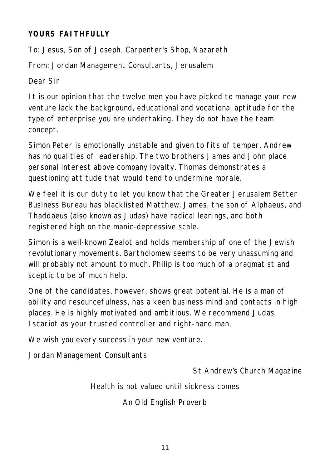## **YOURS FAITHFULLY**

To: Jesus, Son of Joseph, Carpenter's Shop, Nazareth

From: Jordan Management Consultants, Jerusalem

Dear Sir

It is our opinion that the twelve men you have picked to manage your new venture lack the background, educational and vocational aptitude for the type of enterprise you are undertaking. They do not have the team concept.

Simon Peter is emotionally unstable and given to fits of temper. Andrew has no qualities of leadership. The two brothers James and John place personal interest above company loyalty. Thomas demonstrates a questioning attitude that would tend to undermine morale.

We feel it is our duty to let you know that the Greater Jerusalem Better Business Bureau has blacklisted Matthew. James, the son of Alphaeus, and Thaddaeus (also known as Judas) have radical leanings, and both registered high on the manic-depressive scale.

Simon is a well-known Zealot and holds membership of one of the Jewish revolutionary movements. Bartholomew seems to be very unassuming and will probably not amount to much. Philip is too much of a pragmatist and sceptic to be of much help.

One of the candidates, however, shows great potential. He is a man of ability and resourcefulness, has a keen business mind and contacts in high places. He is highly motivated and ambitious. We recommend Judas Iscariot as your trusted controller and right-hand man.

We wish you every success in your new venture.

Jordan Management Consultants

*St Andrew's Church Magazine*

Health is not valued until sickness comes

*An Old English Proverb*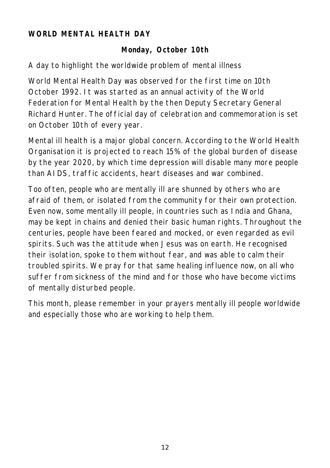#### **WORLD MENTAL HEALTH DAY**

#### **Monday, October 10th**

A day to highlight the worldwide problem of mental illness

World Mental Health Day was observed for the first time on 10th October 1992. It was started as an annual activity of the World Federation for Mental Health by the then Deputy Secretary General Richard Hunter. The official day of celebration and commemoration is set on October 10th of every year.

Mental ill health is a major global concern. According to the World Health Organisation it is projected to reach 15% of the global burden of disease by the year 2020, by which time depression will disable many more people than AIDS, traffic accidents, heart diseases and war combined.

Too often, people who are mentally ill are shunned by others who are afraid of them, or isolated from the community for their own protection. Even now, some mentally ill people, in countries such as India and Ghana, may be kept in chains and denied their basic human rights. Throughout the centuries, people have been feared and mocked, or even regarded as evil spirits. Such was the attitude when Jesus was on earth. He recognised their isolation, spoke to them without fear, and was able to calm their troubled spirits. We pray for that same healing influence now, on all who suffer from sickness of the mind and for those who have become victims of mentally disturbed people.

This month, please remember in your prayers mentally ill people worldwide and especially those who are working to help them.